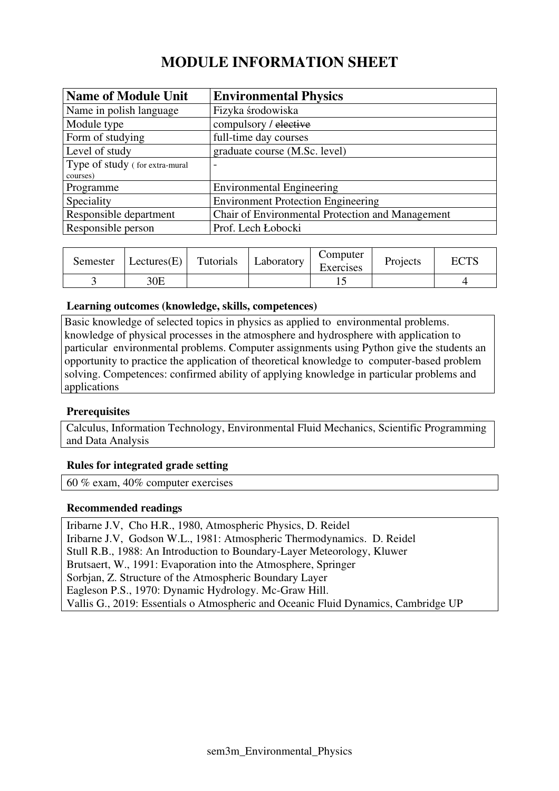# **MODULE INFORMATION SHEET**

| <b>Name of Module Unit</b>     | <b>Environmental Physics</b>                     |
|--------------------------------|--------------------------------------------------|
| Name in polish language        | Fizyka środowiska                                |
| Module type                    | compulsory / elective                            |
| Form of studying               | full-time day courses                            |
| Level of study                 | graduate course (M.Sc. level)                    |
| Type of study (for extra-mural |                                                  |
| courses)                       |                                                  |
| Programme                      | <b>Environmental Engineering</b>                 |
| Speciality                     | <b>Environment Protection Engineering</b>        |
| Responsible department         | Chair of Environmental Protection and Management |
| Responsible person             | Prof. Lech Łobocki                               |

| Semester | Lectures $(E)$ | Tutorials | Laboratory | Computer<br>Exercises | Projects | <b>ECTS</b> |
|----------|----------------|-----------|------------|-----------------------|----------|-------------|
|          | 30E            |           |            |                       |          |             |

#### **Learning outcomes (knowledge, skills, competences)**

Basic knowledge of selected topics in physics as applied to environmental problems. knowledge of physical processes in the atmosphere and hydrosphere with application to particular environmental problems. Computer assignments using Python give the students an opportunity to practice the application of theoretical knowledge to computer-based problem solving. Competences: confirmed ability of applying knowledge in particular problems and applications

#### **Prerequisites**

Calculus, Information Technology, Environmental Fluid Mechanics, Scientific Programming and Data Analysis

#### **Rules for integrated grade setting**

60 % exam, 40% computer exercises

#### **Recommended readings**

Iribarne J.V, Cho H.R., 1980, Atmospheric Physics, D. Reidel Iribarne J.V, Godson W.L., 1981: Atmospheric Thermodynamics. D. Reidel Stull R.B., 1988: An Introduction to Boundary-Layer Meteorology, Kluwer Brutsaert, W., 1991: Evaporation into the Atmosphere, Springer Sorbjan, Z. Structure of the Atmospheric Boundary Layer Eagleson P.S., 1970: Dynamic Hydrology. Mc-Graw Hill. Vallis G., 2019: Essentials o Atmospheric and Oceanic Fluid Dynamics, Cambridge UP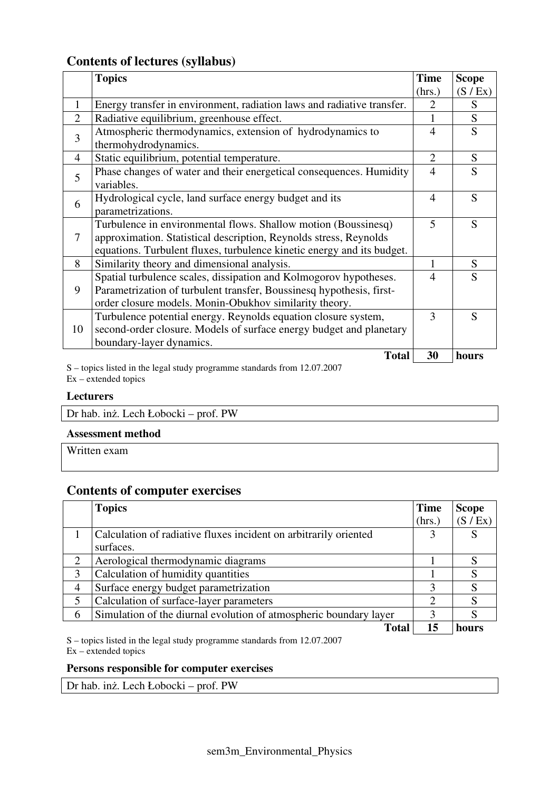### **Contents of lectures (syllabus)**

|                | <b>Topics</b>                                                                                                                                                                                                 | <b>Time</b>                 | <b>Scope</b> |
|----------------|---------------------------------------------------------------------------------------------------------------------------------------------------------------------------------------------------------------|-----------------------------|--------------|
|                |                                                                                                                                                                                                               | (hrs.)                      | (S / Ex)     |
| 1              | Energy transfer in environment, radiation laws and radiative transfer.                                                                                                                                        | $\mathcal{D}_{\mathcal{L}}$ | S            |
| $\overline{2}$ | Radiative equilibrium, greenhouse effect.                                                                                                                                                                     |                             | S            |
| 3              | Atmospheric thermodynamics, extension of hydrodynamics to<br>thermohydrodynamics.                                                                                                                             | 4                           | S            |
| 4              | Static equilibrium, potential temperature.                                                                                                                                                                    | $\overline{2}$              | S            |
| 5              | Phase changes of water and their energetical consequences. Humidity<br>variables.                                                                                                                             | $\overline{4}$              | S            |
| 6              | Hydrological cycle, land surface energy budget and its<br>parametrizations.                                                                                                                                   | $\overline{\mathcal{A}}$    | S            |
| 7              | Turbulence in environmental flows. Shallow motion (Boussinesq)<br>approximation. Statistical description, Reynolds stress, Reynolds<br>equations. Turbulent fluxes, turbulence kinetic energy and its budget. | 5                           | S            |
| 8              | Similarity theory and dimensional analysis.                                                                                                                                                                   |                             | S            |
| 9              | Spatial turbulence scales, dissipation and Kolmogorov hypotheses.<br>Parametrization of turbulent transfer, Boussinesq hypothesis, first-<br>order closure models. Monin-Obukhov similarity theory.           | 4                           | S            |
| 10             | Turbulence potential energy. Reynolds equation closure system,<br>second-order closure. Models of surface energy budget and planetary<br>boundary-layer dynamics.                                             | 3                           | S            |
|                | <b>Total</b>                                                                                                                                                                                                  | 30                          | hours        |

S – topics listed in the legal study programme standards from 12.07.2007  $Ex -$  extended topics

#### **Lecturers**

Dr hab. inż. Lech Łobocki – prof. PW

#### **Assessment method**

Written exam

## **Contents of computer exercises**

|   | <b>Topics</b>                                                     | <b>Time</b>                 | <b>Scope</b> |
|---|-------------------------------------------------------------------|-----------------------------|--------------|
|   |                                                                   | (hrs.)                      | (S / Ex)     |
|   | Calculation of radiative fluxes incident on arbitrarily oriented  |                             |              |
|   | surfaces.                                                         |                             |              |
| 2 | Aerological thermodynamic diagrams                                |                             |              |
| 3 | Calculation of humidity quantities                                |                             |              |
| 4 | Surface energy budget parametrization                             | 3                           |              |
| 5 | Calculation of surface-layer parameters                           | $\mathcal{D}_{\mathcal{L}}$ |              |
| 6 | Simulation of the diurnal evolution of atmospheric boundary layer | 3                           |              |
|   | Total                                                             | 15                          | hours        |

S – topics listed in the legal study programme standards from 12.07.2007 Ex – extended topics

#### **Persons responsible for computer exercises**

Dr hab. inż. Lech Łobocki – prof. PW